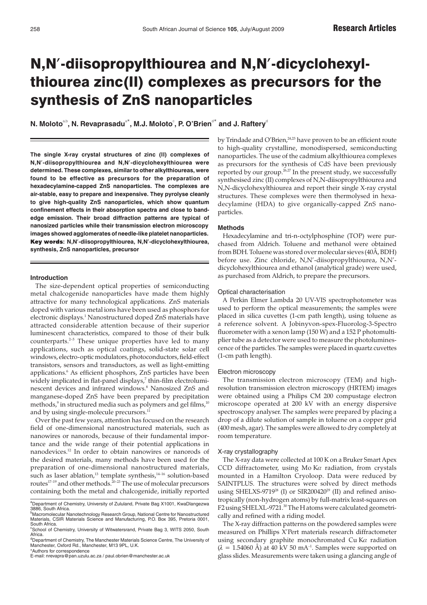# N,N**'**-diisopropylthiourea and N,N**'**-dicyclohexylthiourea zinc(II) complexes as precursors for the synthesis of ZnS nanoparticles

 $\boldsymbol{\mathsf{N}}$ . Moloto $^{\text{a},\text{b}}$ , N. Revaprasadu $^{\text{a}\star}$ , M.J. Moloto $^{\text{c}}$ , P. O'Brien $^{\text{d}\star}$  and J. Raftery $^{\text{d}}$ 

**The single X-ray crystal structures of zinc (II) complexes of N,N'-diisopropylthiourea and N,N'-dicyclohexylthiourea were determined. These complexes, similar to other alkylthioureas, were found to be effective as precursors for the preparation of hexadecylamine-capped ZnS nanoparticles. The complexes are air-stable, easy to prepare and inexpensive. They pyrolyse cleanly to give high-quality ZnS nanoparticles, which show quantum confinement effects in their absorption spectra and close to bandedge emission. Their broad diffraction patterns are typical of nanosized particles while their transmission electron microscopy images showed agglomerates of needle-like platelet nanoparticles. : N,N'-diisopropylthiourea, N,N'-dicyclohexylthiourea, synthesis, ZnS nanoparticles, precursor**

# **Introduction**

The size-dependent optical properties of semiconducting metal chalcogenide nanoparticles have made them highly attractive for many technological applications. ZnS materials doped with various metal ions have been used as phosphors for electronic displays.<sup>1</sup> Nanostructured doped ZnS materials have attracted considerable attention because of their superior luminescent characteristics, compared to those of their bulk counterparts.<sup>2-5</sup> These unique properties have led to many applications, such as optical coatings, solid-state solar cell windows, electro-optic modulators, photoconductors, field-effect transistors, sensors and transductors, as well as light-emitting applications.6 As efficient phosphors, ZnS particles have been widely implicated in flat-panel displays,<sup>7</sup> thin-film electroluminescent devices and infrared windows.8 Nanosized ZnS and manganese-doped ZnS have been prepared by precipitation methods,<sup>9</sup> in structured media such as polymers and gel films,<sup>10</sup> and by using single-molecule precursors.<sup>11</sup>

Over the past few years, attention has focused on the research field of one-dimensional nanostructured materials, such as nanowires or nanorods, because of their fundamental importance and the wide range of their potential applications in nanodevices.12 In order to obtain nanowires or nanorods of the desired materials, many methods have been used for the preparation of one-dimensional nanostructured materials, such as laser ablation,<sup>13</sup> template synthesis, $14-16$  solution-based routes<sup>17-19</sup> and other methods.<sup>20-23</sup> The use of molecular precursors containing both the metal and chalcogenide, initially reported by Trindade and O'Brien,<sup>24,25</sup> have proven to be an efficient route to high-quality crystalline, monodispersed, semiconducting nanoparticles. The use of the cadmium alkylthiourea complexes as precursors for the synthesis of CdS have been previously reported by our group.<sup>26,27</sup> In the present study, we successfully synthesised zinc (II) complexes of N,N-diisopropylthiourea and N,N-dicyclohexylthiourea and report their single X-ray crystal structures. These complexes were then thermolysed in hexadecylamine (HDA) to give organically-capped ZnS nanoparticles.

#### **Methods**

Hexadecylamine and tri-n-octylphosphine (TOP) were purchased from Aldrich. Toluene and methanol were obtained from BDH. Toluene was stored over molecular sieves (40Å, BDH) before use. Zinc chloride, N,N'-diisopropylthiourea, N,N' dicyclohexylthiourea and ethanol (analytical grade) were used, as purchased from Aldrich, to prepare the precursors.

#### Optical characterisation

A Perkin Elmer Lambda 20 UV-VIS spectrophotometer was used to perform the optical measurements; the samples were placed in silica cuvettes (1-cm path length), using toluene as a reference solvent. A Jobinyvon-spex-Fluorolog-3-Spectro fluorometer with a xenon lamp (150 W) and a 152 P photomultiplier tube as a detector were used to measure the photoluminescence of the particles. The samples were placed in quartz cuvettes (1-cm path length).

#### Electron microscopy

The transmission electron microscopy (TEM) and highresolution transmission electron microscopy (HRTEM) images were obtained using a Philips CM 200 compustage electron microscope operated at 200 kV with an energy dispersive spectroscopy analyser. The samples were prepared by placing a drop of a dilute solution of sample in toluene on a copper grid (400 mesh, agar). The samples were allowed to dry completely at room temperature.

# X-ray crystallography

The X-ray data were collected at 100 K on a Bruker Smart Apex CCD diffractometer, using Mo Kα radiation, from crystals mounted in a Hamilton Cryoloop. Data were reduced by SAINTPLUS. The structures were solved by direct methods using SHELXS-9719<sup>28</sup> (I) or SIR200420<sup>29</sup> (II) and refined anisotropically (non-hydrogen atoms) by full-matrix least-squares on F2 using SHELXL-9721.<sup>30</sup> The H atoms were calculated geometrically and refined with a riding model.

The X-ray diffraction patterns on the powdered samples were measured on Phillips X'Pert materials research diffractometer using secondary graphite monochromated Cu K $\alpha$  radiation  $(\lambda = 1.54060 \text{ Å})$  at 40 kV 50 mA<sup>-1</sup>. Samples were supported on glass slides. Measurements were taken using a glancing angle of

<sup>&</sup>lt;sup>a</sup>Department of Chemistry, University of Zululand, Private Bag X1001, KwaDlangezwa<br>3886, South Africa.

**b**<br>Macromolecular Nanotechnology Research Group, National Centre for Nanostructured Materials, CSIR Materials Science and Manufacturing, P.O. Box 395, Pretoria 0001, South Africa.

<sup>&</sup>lt;sup>c</sup>School of Chemistry, University of Witwatersrand, Private Bag 3, WITS 2050, South Africa.

<sup>&</sup>lt;sup>d</sup>Department of Chemistry, The Manchester Materials Science Centre, The University of<br>Manchester, Oxford Rd., Manchester, M13 9PL, U.K. \*Authors for correspondence

E-mail: nrevapra@pan.uzulu.ac.za / paul.obrien@manchester.ac.uk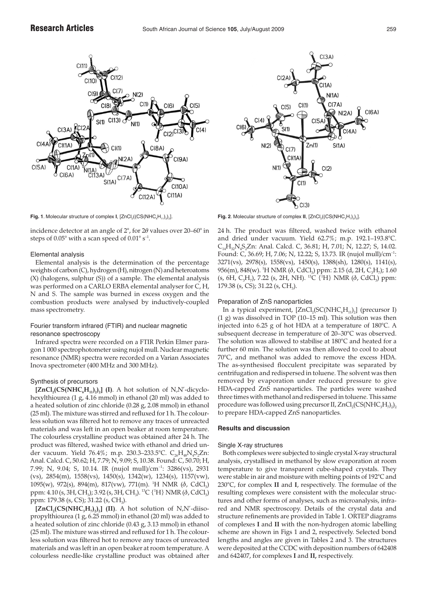

incidence detector at an angle of 2°, for 2θ values over 20–60° in steps of  $0.05^{\circ}$  with a scan speed of  $0.01^{\circ}$  s<sup>-1</sup>.

# Elemental analysis

Elemental analysis is the determination of the percentage weights of carbon (C), hydrogen (H), nitrogen (N) and heteroatoms (X) (halogens, sulphur (S)) of a sample. The elemental analysis was performed on a CARLO ERBA elemental analyser for C, H, N and S. The sample was burned in excess oxygen and the combustion products were analysed by inductively-coupled mass spectrometry.

# Fourier transform infrared (FTIR) and nuclear magnetic resonance spectroscopy

Infrared spectra were recorded on a FTIR Perkin Elmer paragon 1 000 spectrophotometer using nujol mull. Nuclear magnetic resonance (NMR) spectra were recorded on a Varian Associates Inova spectrometer (400 MHz and 300 MHz).

# Synthesis of precursors

 $[ZnCl_2(CS(NHC<sub>6</sub>H<sub>11</sub>)<sub>2</sub>)<sub>2</sub>]$  (I). A hot solution of N,N'-dicyclohexylthiourea (1 g, 4.16 mmol) in ethanol (20 ml) was added to a heated solution of zinc chloride (0.28 g, 2.08 mmol) in ethanol (25 ml). The mixture was stirred and refluxed for 1 h. The colourless solution was filtered hot to remove any traces of unreacted materials and was left in an open beaker at room temperature. The colourless crystalline product was obtained after 24 h. The product was filtered, washed twice with ethanol and dried under vacuum. Yield 76.4%; m.p. 230.3–233.5°C. C<sub>26</sub>H<sub>48</sub>N<sub>4</sub>S<sub>2</sub>Zn: Anal. Calcd. C, 50.62; H, 7.79; N, 9.09; S, 10.38. Found: C, 50.70; H, 7.99; N, 9.04; S, 10.14. IR (nujol mull)/cm<sup>-1</sup>: 3286(vs), 2931 (vs), 2854(m), 1558(vs), 1450(s), 1342(w), 1234(s), 1157(vw), 1095(w), 972(s), 894(m), 817(vw), 771(m). <sup>1</sup>H NMR (δ, CdCl<sub>3</sub>) ppm: 4.10 (s, 3H, CH<sub>3</sub>); 3.92 (s, 3H, CH<sub>3</sub>). <sup>13</sup>C {<sup>1</sup>H} NMR (δ, CdCl<sub>3</sub>) ppm: 179.38 (s, CS); 31.22 (s, CH<sub>3</sub>).

 $[ZnCl_2(CS(NHC_3H_7)_2)_2]$  (II). A hot solution of N,N'-diisopropylthiourea (1 g, 6.25 mmol) in ethanol (20 ml) was added to a heated solution of zinc chloride (0.43 g, 3.13 mmol) in ethanol (25 ml). The mixture was stirred and refluxed for 1 h. The colourless solution was filtered hot to remove any traces of unreacted materials and was left in an open beaker at room temperature. A colourless needle-like crystalline product was obtained after



**Fig. 1**. Molecular structure of complex **I**, [ZnCl<sub>2</sub>((CS(NHC<sub>6</sub>H<sub>11</sub>)<sub>2</sub>)<sub>2</sub>]. **Fig. 2**. Molecular structure of complex **II**, [ZnCl<sub>2</sub>((CS(NHC<sub>6</sub>H<sub>12</sub>)<sub>2</sub>)<sub>2</sub>].

24 h. The product was filtered, washed twice with ethanol and dried under vacuum. Yield 62.7%; m.p. 192.1–193.8°C. C<sub>14</sub>H<sub>32</sub>N<sub>4</sub>S<sub>2</sub>Zn: Anal. Calcd. C, 36.81; H, 7.01; N, 12.27; S, 14.02. Found: C, 36.69; H, 7.06; N, 12.22; S, 13.73. IR (nujol mull)/cm–1: 3271(vs), 2978(s), 1558(vs), 1450(s), 1388(sh), 1280(s), 1141(s), 956(m), 848(w). <sup>1</sup>H NMR (δ, CdCl<sub>3</sub>) ppm: 2.15 (d, 2H, C<sub>3</sub>H<sub>7</sub>); 1.60 (s, 6H, C<sub>3</sub>H<sub>7</sub>), 7.22 (s, 2H, NH). <sup>13</sup>C {<sup>1</sup>H} NMR ( $\delta$ , CdCl<sub>3</sub>) ppm: 179.38 (s, CS); 31.22 (s, CH<sub>3</sub>).

# Preparation of ZnS nanoparticles

In a typical experiment,  $[ZnCl_2(SC(NHC<sub>6</sub>H<sub>11</sub>)<sub>2</sub>]$  (precursor I) (1 g) was dissolved in TOP (10–15 ml). This solution was then injected into 6.25 g of hot HDA at a temperature of 180°C. A subsequent decrease in temperature of 20–30°C was observed. The solution was allowed to stabilise at 180°C and heated for a further 60 min. The solution was then allowed to cool to about 70°C, and methanol was added to remove the excess HDA. The as-synthesised flocculent precipitate was separated by centrifugation and redispersed in toluene. The solvent was then removed by evaporation under reduced pressure to give HDA-capped ZnS nanoparticles. The particles were washed three times with methanol and redispersed in toluene. This same procedure was followed using precursor II,  $ZnCl_2(CS(NHC_3H_7))$ <sub>2</sub> to prepare HDA-capped ZnS nanoparticles.

# **Results and discussion**

#### Single X-ray structures

Both complexes were subjected to single crystal X-ray structural analysis, crystallised in methanol by slow evaporation at room temperature to give transparent cube-shaped crystals. They were stable in air and moisture with melting points of 192°C and 230°C, for complex **II** and **I**, respectively. The formulae of the resulting complexes were consistent with the molecular structures and other forms of analyses, such as microanalysis, infrared and NMR spectroscopy. Details of the crystal data and structure refinements are provided in Table 1. ORTEP diagrams of complexes **I** and **II** with the non-hydrogen atomic labelling scheme are shown in Figs 1 and 2, respectively. Selected bond lengths and angles are given in Tables 2 and 3. The structures were deposited at the CCDC with deposition numbers of 642408 and 642407, for complexes **I** and **II,** respectively.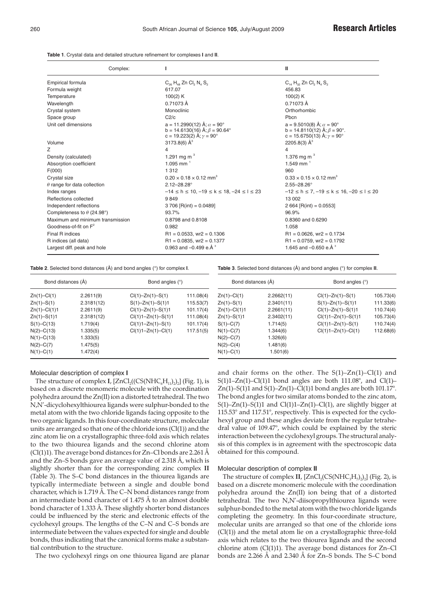**Table 1**. Crystal data and detailed structure refinement for complexes **I** and **II**.

|                                    | Complex: |                                                                                                                             | Ш                                                                                                                  |
|------------------------------------|----------|-----------------------------------------------------------------------------------------------------------------------------|--------------------------------------------------------------------------------------------------------------------|
| Empirical formula                  |          | $C_{26}$ H <sub>48</sub> Zn Cl <sub>2</sub> N <sub>4</sub> S <sub>2</sub>                                                   | $C_{14}$ H <sub>22</sub> Zn Cl <sub>2</sub> N <sub>4</sub> S <sub>2</sub>                                          |
| Formula weight                     |          | 617.07                                                                                                                      | 456.83                                                                                                             |
| Temperature                        |          | 100(2) K                                                                                                                    | 100(2) K                                                                                                           |
| Wavelength                         |          | 0.71073 Å                                                                                                                   | 0.71073 Å                                                                                                          |
| Crystal system                     |          | Monoclinic                                                                                                                  | Orthorhombic                                                                                                       |
| Space group                        |          | C2/c                                                                                                                        | Phcn                                                                                                               |
| Unit cell dimensions               |          | $a = 11.2990(12)$ Å; $\alpha = 90^{\circ}$<br>b = 14.6130(16) Å; $\beta$ = 90.64°<br>c = 19.223(2) Å; $\gamma = 90^{\circ}$ | $a = 9.5010(8)$ Å; $\alpha = 90^{\circ}$<br>b = 14.8110(12) Å; $\beta$ = 90°.<br>c = 15.6750(13) Å; $\gamma$ = 90° |
| Volume                             |          | 3173.8(6) $\AA^3$                                                                                                           | 2205.8(3) $\AA^3$                                                                                                  |
| Z                                  |          | $\overline{4}$                                                                                                              | 4                                                                                                                  |
| Density (calculated)               |          | 1.291 mg m <sup>3</sup>                                                                                                     | 1.376 mg m $3$                                                                                                     |
| Absorption coefficient             |          | 1.095 mm $^{-1}$                                                                                                            | 1.549 mm $^{-1}$                                                                                                   |
| F(000)                             |          | 1 3 1 2                                                                                                                     | 960                                                                                                                |
| Crystal size                       |          | $0.20 \times 0.18 \times 0.12$ mm <sup>3</sup>                                                                              | $0.33 \times 0.15 \times 0.12$ mm <sup>3</sup>                                                                     |
| $\theta$ range for data collection |          | $2.12 - 28.28$ °                                                                                                            | $2.55 - 28.26^{\circ}$                                                                                             |
| Index ranges                       |          | $-14 \le h \le 10, -19 \le k \le 18, -24 \le l \le 23$                                                                      | $-12 \le h \le 7, -19 \le k \le 16, -20 \le l \le 20$                                                              |
| Reflections collected              |          | 9849                                                                                                                        | 13 002                                                                                                             |
| Independent reflections            |          | $3706$ [R(int) = 0.0489]                                                                                                    | 2 664 [R(int) = $0.0553$ ]                                                                                         |
| Completeness to $\theta$ (24.98°)  |          | 93.7%                                                                                                                       | 96.9%                                                                                                              |
| Maximum and minimum transmission   |          | 0.8798 and 0.8108                                                                                                           | 0.8360 and 0.6290                                                                                                  |
| Goodness-of-fit on $F^2$           |          | 0.982                                                                                                                       | 1.058                                                                                                              |
| Final R indices                    |          | $R1 = 0.0533$ , wr2 = 0.1306                                                                                                | $R1 = 0.0626$ , wr2 = 0.1734                                                                                       |
| R indices (all data)               |          | $R1 = 0.0835$ , wr2 = 0.1377                                                                                                | $R1 = 0.0759$ , wr2 = 0.1792                                                                                       |
| Largest diff. peak and hole        |          | 0.963 and $-0.499$ e. Å $3$                                                                                                 | 1.645 and $-0.650$ e. Å $3$                                                                                        |

**Table 2**. Selected bond distances (Å) and bond angles (°) for complex **I**.

**Table 3**. Selected bond distances (Å) and bond angles (°) for complex **II**.

| Bond distances (Å) |            | Bond angles (°)          |           | Bond distances (Å) |            | Bond angles (°)             |           |
|--------------------|------------|--------------------------|-----------|--------------------|------------|-----------------------------|-----------|
| Zn(1)–Cl(1)        | 2.2611(9)  | $Cl(1) - Zn(1) - S(1)$   | 111.08(4) | $Zn(1) - Cl(1)$    | 2.2662(11) | $Cl(1) - Zn(1) - S(1)$      | 105.73(4) |
| Zn(1)–S(1)         | 2.3181(12) | $S(1) - Zn(1) - S(1)1$   | 115.53(7) | $Zn(1) - S(1)$     | 2.3401(11) | $S(1)$ -Zn $(1)$ -S $(1)$ 1 | 111.33(6) |
| Zn(1)-Cl(1)1       | 2.2611(9)  | $Cl(1) - Zn(1) - S(1)1$  | 101.17(4) | $Zn(1) - Cl(1)1$   | 2.2661(11) | $Cl(1) - Zn(1) - S(1)1$     | 110.74(4) |
| Zn(1)–S(1)1        | 2.3181(12) | $Cl(1)1 - Zn(1) - S(1)1$ | 111.08(4) | $Zn(1) - S(1)1$    | 2.3402(11) | $Cl(1)1 - Zn(1) - S(1)1$    | 105.73(4) |
| $S(1)$ –C(13)      | 1.719(4)   | $Cl(1)1 - Zn(1) - S(1)$  | 101.17(4) | $S(1)$ –C $(7)$    | 1.714(5)   | $Cl(1)1 - Zn(1) - S(1)$     | 110.74(4) |
| $N(2)$ –C(13)      | 1.335(5)   | $Cl(1)1 - Zn(1) - Cl(1)$ | 117.51(5) | $N(1)$ –C $(7)$    | 1.344(6)   | $Cl(1)1 - Zn(1) - Cl(1)$    | 112.68(6) |
| $N(1)$ –C(13)      | 1.333(5)   |                          |           | $N(2) - C(7)$      | 1.326(6)   |                             |           |
| $N(2)$ –C(7)       | 1.475(5)   |                          |           | $N(2)$ –C(4)       | 1.481(6)   |                             |           |
| $N(1)$ –C(1)       | 1.472(4)   |                          |           | $N(1) - C(1)$      | 1.501(6)   |                             |           |
|                    |            |                          |           |                    |            |                             |           |

# Molecular description of complex **I**

The structure of complex **I**,  $[ZnCl<sub>2</sub>((CS(NHC<sub>6</sub>H<sub>11</sub>))<sub>2</sub>]$  (Fig. 1), is based on a discrete monomeric molecule with the coordination polyhedra around the Zn(II) ion a distorted tetrahedral. The two N,N'-dicyclohexylthiourea ligands were sulphur-bonded to the metal atom with the two chloride ligands facing opposite to the two organic ligands. In this four-coordinate structure, molecular units are arranged so that one of the chloride ions (Cl(1)) and the zinc atom lie on a crystallographic three-fold axis which relates to the two thiourea ligands and the second chlorine atom (Cl(1)1). The average bond distances for Zn–Cl bonds are 2.261 Å and the Zn–S bonds gave an average value of 2.318 Å, which is slightly shorter than for the corresponding zinc complex **II** (Table 3). The S–C bond distances in the thiourea ligands are typically intermediate between a single and double bond character, which is 1.719 Å. The C–N bond distances range from an intermediate bond character of 1.475 Å to an almost double bond character of 1.333 Å. These slightly shorter bond distances could be influenced by the steric and electronic effects of the cyclohexyl groups. The lengths of the C–N and C–S bonds are intermediate between the values expected for single and double bonds, thus indicating that the canonical forms make a substantial contribution to the structure.

The two cyclohexyl rings on one thiourea ligand are planar

and chair forms on the other. The  $S(1)$ – $Zn(1)$ – $Cl(1)$  and S(1)1–Zn(1)–Cl(1)1 bond angles are both  $111.08^{\circ}$ , and Cl(1)– Zn(1)–S(1)1 and S(1)–Zn(1)–Cl(1)1 bond angles are both  $101.17^{\circ}$ . The bond angles for two similar atoms bonded to the zinc atom, S(1)–Zn(1)–S(1)1 and Cl(1)1–Zn(1)–Cl(1), are slightly bigger at 115.53° and 117.51°, respectively. This is expected for the cyclohexyl group and these angles deviate from the regular tetrahedral value of 109.47°, which could be explained by the steric interaction between the cyclohexyl groups. The structural analysis of this complex is in agreement with the spectroscopic data obtained for this compound.

## Molecular description of complex **II**

The structure of complex **II**,  $[ZnCl(CS(NHC_3H_7))_2]$  (Fig. 2), is based on a discrete monomeric molecule with the coordination polyhedra around the Zn(II) ion being that of a distorted tetrahedral. The two N,N'-diisopropylthiourea ligands were sulphur-bonded to the metal atom with the two chloride ligands completing the geometry. In this four-coordinate structure, molecular units are arranged so that one of the chloride ions (Cl(1)) and the metal atom lie on a crystallographic three-fold axis which relates to the two thiourea ligands and the second chlorine atom  $(Cl(1)1)$ . The average bond distances for Zn–Cl bonds are 2.266 Å and 2.340 Å for Zn–S bonds. The S–C bond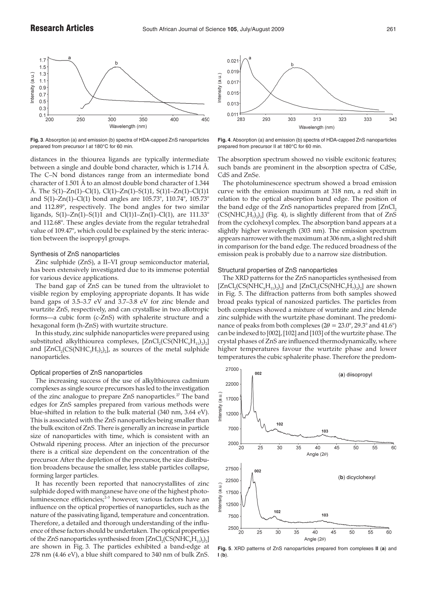

**Fig. 3**. Absorption (a) and emission (b) spectra of HDA-capped ZnS nanoparticles prepared from precursor I at 180°C for 60 min.

distances in the thiourea ligands are typically intermediate between a single and double bond character, which is 1.714 Å. The C–N bond distances range from an intermediate bond character of 1.501 Å to an almost double bond character of 1.344 Å. The  $S(1)$ – $Zn(1)$ – $Cl(1)$ ,  $Cl(1)$ – $Zn(1)$ – $S(1)1$ ,  $S(1)1$ – $Zn(1)$ – $Cl(1)1$ and S(1)–Zn(1)–Cl(1) bond angles are 105.73°, 110.74°, 105.73° and 112.89°, respectively. The bond angles for two similar ligands, S(1)–Zn(1)–S(1)1 and Cl(1)1–Zn(1)–Cl(1), are  $111.33^{\circ}$ and 112.68°. These angles deviate from the regular tetrahedral value of 109.47°, which could be explained by the steric interaction between the isopropyl groups.

# Synthesis of ZnS nanoparticles

Zinc sulphide (ZnS), a II–VI group semiconductor material, has been extensively investigated due to its immense potential for various device applications.

The band gap of ZnS can be tuned from the ultraviolet to visible region by employing appropriate dopants. It has wide band gaps of 3.5–3.7 eV and 3.7–3.8 eV for zinc blende and wurtzite ZnS, respectively, and can crystallise in two allotropic forms—a cubic form (c-ZnS) with sphalerite structure and a hexagonal form (h-ZnS) with wurtzite structure.

In this study, zinc sulphide nanoparticles were prepared using substituted alkylthiourea complexes,  $[ZnCl_2(CS(NHC<sub>6</sub>H<sub>11</sub>))<sub>2</sub>]$ and  $[ZnCl_2(CS(NHC_3H_7)_2)]$ , as sources of the metal sulphide nanoparticles.

# Optical properties of ZnS nanoparticles

The increasing success of the use of alkylthiourea cadmium complexes as single source precursors has led to the investigation of the zinc analogue to prepare ZnS nanoparticles.<sup>27</sup> The band edges for ZnS samples prepared from various methods were blue-shifted in relation to the bulk material (340 nm, 3.64 eV). This is associated with the ZnS nanoparticles being smaller than the bulk exciton of ZnS. There is generally an increase in particle size of nanoparticles with time, which is consistent with an Ostwald ripening process. After an injection of the precursor there is a critical size dependent on the concentration of the precursor. After the depletion of the precursor, the size distribution broadens because the smaller, less stable particles collapse, forming larger particles.

It has recently been reported that nanocrystallites of zinc sulphide doped with manganese have one of the highest photoluminescence efficiencies;<sup>2-5</sup> however, various factors have an influence on the optical properties of nanoparticles, such as the nature of the passivating ligand, temperature and concentration. Therefore, a detailed and thorough understanding of the influence of these factors should be undertaken. The optical properties of the ZnS nanoparticles synthesised from  $[ZnCl_2(CS(NHC_6H_{11})_2)_2]$ are shown in Fig. 3. The particles exhibited a band-edge at 278 nm (4.46 eV), a blue shift compared to 340 nm of bulk ZnS.



**Fig. 4**. Absorption (a) and emission (b) spectra of HDA-capped ZnS nanoparticles prepared from precursor II at 180°C for 60 min.

The absorption spectrum showed no visible excitonic features; such bands are prominent in the absorption spectra of CdSe, CdS and ZnSe.

The photoluminescence spectrum showed a broad emission curve with the emission maximum at 318 nm, a red shift in relation to the optical absorption band edge. The position of the band edge of the ZnS nanoparticles prepared from  $[ZnCl_2]$  $(CS(NHC<sub>3</sub>H<sub>7</sub>)<sub>2</sub>)<sub>2</sub>$ ] (Fig. 4), is slightly different from that of ZnS from the cyclohexyl complex. The absorption band appears at a slightly higher wavelength (303 nm). The emission spectrum appears narrower with the maximum at 306 nm, a slight red shift in comparison for the band edge. The reduced broadness of the emission peak is probably due to a narrow size distribution.

# Structural properties of ZnS nanoparticles

The XRD patterns for the ZnS nanoparticles synthesised from  $[ZnCl_2(CS(NHC<sub>6</sub>H<sub>11</sub>)<sub>2</sub>)<sub>2</sub>]$  and  $[ZnCl_2(CS(NHC<sub>3</sub>H<sub>7</sub>)<sub>2</sub>)<sub>2</sub>]$  are shown in Fig. 5. The diffraction patterns from both samples showed broad peaks typical of nanosized particles. The particles from both complexes showed a mixture of wurtzite and zinc blende zinc sulphide with the wurtzite phase dominant. The predominance of peaks from both complexes ( $2\theta = 23.0^{\circ}$ ,  $29.3^{\circ}$  and  $41.6^{\circ}$ ) can be indexed to [002], [102] and [103] of the wurtzite phase. The crystal phases of ZnS are influenced thermodynamically, where higher temperatures favour the wurtzite phase and lower temperatures the cubic sphalerite phase. Therefore the predom-



**Fig. 5**. XRD patterns of ZnS nanoparticles prepared from complexes **II** (**a**) and **I** (**b**).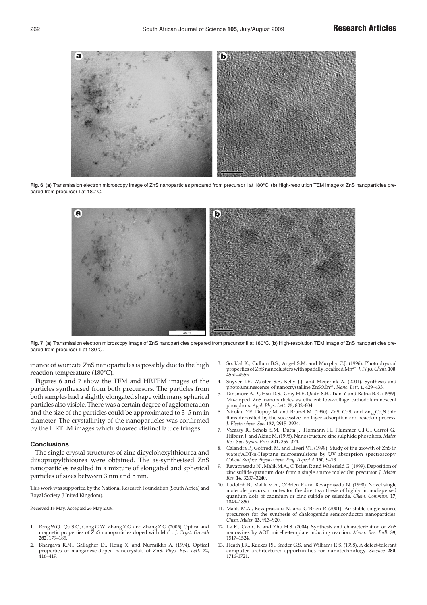

**Fig. 6**. (**a**) Transmission electron microscopy image of ZnS nanoparticles prepared from precursor I at 180°C. (**b**) High-resolution TEM image of ZnS nanoparticles prepared from precursor I at 180°C.



**Fig. 7**. (**a**) Transmission electron microscopy image of ZnS nanoparticles prepared from precursor II at 180°C. (**b**) High-resolution TEM image of ZnS nanoparticles prepared from precursor II at 180°C.

inance of wurtzite ZnS nanoparticles is possibly due to the high reaction temperature (180°C).

Figures 6 and 7 show the TEM and HRTEM images of the particles synthesised from both precursors. The particles from both samples had a slightly elongated shape with many spherical particles also visible. There was a certain degree of agglomeration and the size of the particles could be approximated to 3–5 nm in diameter. The crystallinity of the nanoparticles was confirmed by the HRTEM images which showed distinct lattice fringes.

# **Conclusions**

The single crystal structures of zinc dicyclohexylthiourea and diisopropylthiourea were obtained. The as-synthesised ZnS nanoparticles resulted in a mixture of elongated and spherical particles of sizes between 3 nm and 5 nm.

This work was supported by the National Research Foundation (South Africa) and Royal Society (United Kingdom).

Received 18 May. Accepted 26 May 2009.

- 1. Peng W.Q., Qu S.C., Cong G.W., Zhang X.G. and Zhang Z.G. (2005). Optical and magnetic properties of ZnS nanoparticles doped with Mn2+. *J. Cryst. Growth* **282**, 179–185.
- 2. Bhargava R.N., Gallagher D., Hong X. and Nurmikko A. (1994). Optical properties of manganese-doped nanocrystals of ZnS. *Phys. Rev. Lett.* **72**, 416–419.
- 3. Sooklal K., Cullum B.S., Angel S.M. and Murphy C.J. (1996). Photophysical properties of ZnS nanoclusters with spatially localized Mn2+. *J. Phys. Chem.* **100**, 4551–4555.
- 4. Suyver J.F., Wuister S.F., Kelly J.J. and Meijerink A. (2001). Synthesis and photoluminescence of nanocrystalline ZnS:Mn2+. *Nano. Lett.* **1**, 429–433.
- 5. Dinsmore A.D., Hsu D.S., Gray H.F., Qadri S.B., Tian Y. and Ratna B.R. (1999). Mn-doped ZnS nanoparticles as efficient low-voltage cathodoluminescent phosphors. *Appl. Phys. Lett.* **75**, 802–804.
- 6. Nicolau Y.F., Dupuy M. and Brunel M. (1990). ZnS, CdS, and  $Zn_{1-x}Cd_{x}S$  thin films deposited by the successive ion layer adsorption and reaction process. *J. Electrochem. Soc.* **137**, 2915–2924.
- 7. Vacassy R., Scholz S.M., Dutta J., Hofmann H., Plummer C.J.G., Carrot G., Hilborn J. and Akine M. (1998). Nanostructure zinc sulphide phosphors. *Mater. Res. Soc. Symp. Proc.* **501**, 369–374.
- 8. Calandra P., Goffredi M. and Liveri V.T. (1999). Study of the growth of ZnS in water/AOT/n-Heptane microemulsions by UV absorption spectroscopy. *Colloid Surface Physicochem. Eng. Aspect A* **160**, 9–13.
- 9. Revaprasadu N., Malik M.A., O'Brien P. and Wakefield G. (1999). Deposition of zinc sulfide quantum dots from a single source molecular precursor. *J. Mater. Res.* **14**, 3237–3240.
- 10. Ludolph B., Malik M.A., O'Brien P. and Revaprasadu N. (1998). Novel single molecule precursor routes for the direct synthesis of highly monodispersed quantum dots of cadmium or zinc sulfide or selenide. *Chem. Commun.* **17**, 1849–1850.
- 11. Malik M.A., Revaprasadu N. and O'Brien P. (2001). Air-stable single-source precursors for the synthesis of chalcogenide semiconductor nanoparticles. *Chem. Mater.* **13**, 913–920.
- 12. Lv R., Cao C.B. and Zhu H.S. (2004). Synthesis and characterization of ZnS nanowires by AOT micelle-template inducing reaction. *Mater. Res. Bull.* **39**, 1517–1524.
- 13. Heath J.R., Kuekes P.J., Snider G.S. and Williams R.S. (1998). A defect-tolerant computer architecture: opportunities for nanotechnology. *Science* **280**, 1716-1721.